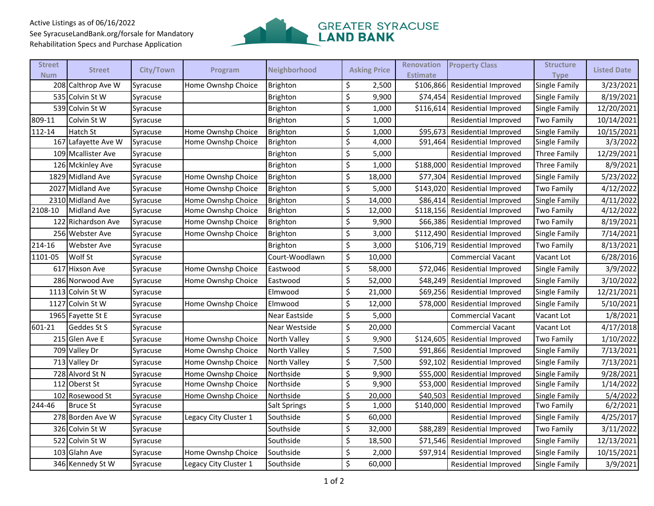## Active Listings as of 06/16/2022 See SyracuseLandBank.org/forsale for Mandatory Rehabilitation Specs and Purchase Application



| <b>Street</b><br><b>Num</b> | <b>Street</b>       | City/Town | Program               | Neighborhood    | <b>Asking Price</b> | Renovation<br><b>Estimate</b> | <b>Property Class</b>          | <b>Structure</b><br><b>Type</b> | <b>Listed Date</b> |
|-----------------------------|---------------------|-----------|-----------------------|-----------------|---------------------|-------------------------------|--------------------------------|---------------------------------|--------------------|
|                             | 208 Calthrop Ave W  | Syracuse  | Home Ownshp Choice    | <b>Brighton</b> | \$<br>2,500         | \$106,866                     | Residential Improved           | Single Family                   | 3/23/2021          |
|                             | 535 Colvin St W     | Syracuse  |                       | <b>Brighton</b> | \$<br>9,900         | \$74,454                      | <b>Residential Improved</b>    | Single Family                   | 8/19/2021          |
|                             | 539 Colvin St W     | Syracuse  |                       | Brighton        | \$<br>1,000         | \$116,614                     | Residential Improved           | Single Family                   | 12/20/2021         |
| 809-11                      | Colvin St W         | Syracuse  |                       | Brighton        | \$<br>1,000         |                               | Residential Improved           | <b>Two Family</b>               | 10/14/2021         |
| 112-14                      | Hatch St            | Syracuse  | Home Ownshp Choice    | <b>Brighton</b> | \$<br>1,000         | \$95,673                      | <b>Residential Improved</b>    | Single Family                   | 10/15/2021         |
|                             | 167 Lafayette Ave W | Syracuse  | Home Ownshp Choice    | Brighton        | \$<br>4,000         | \$91,464                      | Residential Improved           | Single Family                   | 3/3/2022           |
|                             | 109 Mcallister Ave  | Syracuse  |                       | Brighton        | \$<br>5,000         |                               | Residential Improved           | Three Family                    | 12/29/2021         |
|                             | 126 Mckinley Ave    | Syracuse  |                       | Brighton        | \$<br>1,000         | \$188,000                     | <b>Residential Improved</b>    | Three Family                    | 8/9/2021           |
|                             | 1829 Midland Ave    | Syracuse  | Home Ownshp Choice    | <b>Brighton</b> | \$<br>18,000        | \$77,304                      | Residential Improved           | Single Family                   | 5/23/2022          |
|                             | 2027 Midland Ave    | Syracuse  | Home Ownshp Choice    | Brighton        | \$<br>5,000         | \$143,020                     | <b>Residential Improved</b>    | Two Family                      | 4/12/2022          |
|                             | 2310 Midland Ave    | Syracuse  | Home Ownshp Choice    | Brighton        | \$<br>14,000        | \$86,414                      | Residential Improved           | Single Family                   | 4/11/2022          |
| 2108-10                     | Midland Ave         | Syracuse  | Home Ownshp Choice    | <b>Brighton</b> | \$<br>12,000        |                               | \$118,156 Residential Improved | <b>Two Family</b>               | 4/12/2022          |
|                             | 122 Richardson Ave  | Syracuse  | Home Ownshp Choice    | Brighton        | \$<br>9,900         |                               | \$66,386 Residential Improved  | Two Family                      | 8/19/2021          |
|                             | 256 Webster Ave     | Syracuse  | Home Ownshp Choice    | <b>Brighton</b> | \$<br>3,000         |                               | \$112,490 Residential Improved | Single Family                   | 7/14/2021          |
| 214-16                      | <b>Webster Ave</b>  | Syracuse  |                       | Brighton        | \$<br>3,000         | \$106,719                     | <b>Residential Improved</b>    | Two Family                      | 8/13/2021          |
| 1101-05                     | Wolf St             | Syracuse  |                       | Court-Woodlawn  | \$<br>10,000        |                               | <b>Commercial Vacant</b>       | Vacant Lot                      | 6/28/2016          |
|                             | 617 Hixson Ave      | Syracuse  | Home Ownshp Choice    | Eastwood        | \$<br>58,000        | \$72,046                      | Residential Improved           | Single Family                   | 3/9/2022           |
|                             | 286 Norwood Ave     | Syracuse  | Home Ownshp Choice    | Eastwood        | \$<br>52,000        |                               | \$48,249 Residential Improved  | Single Family                   | 3/10/2022          |
|                             | 1113 Colvin St W    | Syracuse  |                       | Elmwood         | \$<br>21,000        |                               | \$69,256 Residential Improved  | Single Family                   | 12/21/2021         |
|                             | 1127 Colvin St W    | Syracuse  | Home Ownshp Choice    | Elmwood         | \$<br>12,000        | \$78,000                      | <b>Residential Improved</b>    | Single Family                   | 5/10/2021          |
|                             | 1965 Fayette St E   | Syracuse  |                       | Near Eastside   | \$<br>5,000         |                               | <b>Commercial Vacant</b>       | Vacant Lot                      | 1/8/2021           |
| 601-21                      | Geddes St S         | Syracuse  |                       | Near Westside   | \$<br>20,000        |                               | <b>Commercial Vacant</b>       | Vacant Lot                      | 4/17/2018          |
|                             | 215 Glen Ave E      | Syracuse  | Home Ownshp Choice    | North Valley    | \$<br>9,900         | \$124,605                     | <b>Residential Improved</b>    | Two Family                      | 1/10/2022          |
|                             | 709 Valley Dr       | Syracuse  | Home Ownshp Choice    | North Valley    | \$<br>7,500         | \$91,866                      | <b>Residential Improved</b>    | Single Family                   | 7/13/2021          |
|                             | 713 Valley Dr       | Syracuse  | Home Ownshp Choice    | North Valley    | \$<br>7,500         | \$92,102                      | Residential Improved           | Single Family                   | 7/13/2021          |
|                             | 728 Alvord St N     | Syracuse  | Home Ownshp Choice    | Northside       | \$<br>9,900         |                               | \$55,000 Residential Improved  | Single Family                   | 9/28/2021          |
|                             | 112 Oberst St       | Syracuse  | Home Ownshp Choice    | Northside       | \$<br>9,900         | \$53,000                      | Residential Improved           | Single Family                   | 1/14/2022          |
|                             | 102 Rosewood St     | Syracuse  | Home Ownshp Choice    | Northside       | \$<br>20,000        |                               | \$40,503 Residential Improved  | Single Family                   | 5/4/2022           |
| 244-46                      | <b>Bruce St</b>     | Syracuse  |                       | Salt Springs    | \$<br>1,000         |                               | \$140,000 Residential Improved | <b>Two Family</b>               | 6/2/2021           |
|                             | 278 Borden Ave W    | Syracuse  | Legacy City Cluster 1 | Southside       | \$<br>60,000        |                               | <b>Residential Improved</b>    | Single Family                   | 4/25/2017          |
|                             | 326 Colvin St W     | Syracuse  |                       | Southside       | \$<br>32,000        | \$88,289                      | <b>Residential Improved</b>    | Two Family                      | 3/11/2022          |
|                             | 522 Colvin St W     | Syracuse  |                       | Southside       | \$<br>18,500        |                               | \$71,546 Residential Improved  | Single Family                   | 12/13/2021         |
|                             | 103 Glahn Ave       | Syracuse  | Home Ownshp Choice    | Southside       | \$<br>2,000         | \$97,914                      | <b>Residential Improved</b>    | Single Family                   | 10/15/2021         |
|                             | 346 Kennedy St W    | Syracuse  | Legacy City Cluster 1 | Southside       | \$<br>60,000        |                               | <b>Residential Improved</b>    | Single Family                   | 3/9/2021           |